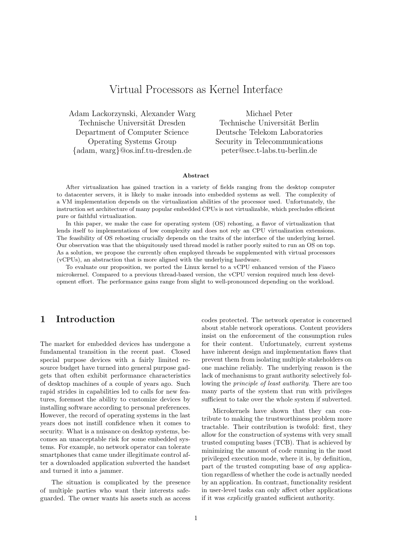# Virtual Processors as Kernel Interface

Adam Lackorzynski, Alexander Warg Technische Universität Dresden Department of Computer Science Operating Systems Group {adam, warg}@os.inf.tu-dresden.de

Michael Peter Technische Universität Berlin Deutsche Telekom Laboratories Security in Telecommunications peter@sec.t-labs.tu-berlin.de

#### Abstract

After virtualization has gained traction in a variety of fields ranging from the desktop computer to datacenter servers, it is likely to make inroads into embedded systems as well. The complexity of a VM implementation depends on the virtualization abilities of the processor used. Unfortunately, the instruction set architecture of many popular embedded CPUs is not virtualizable, which precludes efficient pure or faithful virtualization.

In this paper, we make the case for operating system (OS) rehosting, a flavor of virtualization that lends itself to implementations of low complexity and does not rely an CPU virtualization extensions. The feasibility of OS rehosting crucially depends on the traits of the interface of the underlying kernel. Our observation was that the ubiquitously used thread model is rather poorly suited to run an OS on top. As a solution, we propose the currently often employed threads be supplemented with virtual processors (vCPUs), an abstraction that is more aligned with the underlying hardware.

To evaluate our proposition, we ported the Linux kernel to a vCPU enhanced version of the Fiasco microkernel. Compared to a previous thread-based version, the vCPU version required much less development effort. The performance gains range from slight to well-pronounced depending on the workload.

### 1 Introduction

The market for embedded devices has undergone a fundamental transition in the recent past. Closed special purpose devices with a fairly limited resource budget have turned into general purpose gadgets that often exhibit performance characteristics of desktop machines of a couple of years ago. Such rapid strides in capabilities led to calls for new features, foremost the ability to customize devices by installing software according to personal preferences. However, the record of operating systems in the last years does not instill confidence when it comes to security. What is a nuisance on desktop systems, becomes an unacceptable risk for some embedded systems. For example, no network operator can tolerate smartphones that came under illegitimate control after a downloaded application subverted the handset and turned it into a jammer.

The situation is complicated by the presence of multiple parties who want their interests safeguarded. The owner wants his assets such as access codes protected. The network operator is concerned about stable network operations. Content providers insist on the enforcement of the consumption rules for their content. Unfortunately, current systems have inherent design and implementation flaws that prevent them from isolating multiple stakeholders on one machine reliably. The underlying reason is the lack of mechanisms to grant authority selectively following the *principle of least authority*. There are too many parts of the system that run with privileges sufficient to take over the whole system if subverted.

Microkernels have shown that they can contribute to making the trustworthiness problem more tractable. Their contribution is twofold: first, they allow for the construction of systems with very small trusted computing bases (TCB). That is achieved by minimizing the amount of code running in the most privileged execution mode, where it is, by definition, part of the trusted computing base of *any* application regardless of whether the code is actually needed by an application. In contrast, functionality resident in user-level tasks can only affect other applications if it was *explicitly* granted sufficient authority.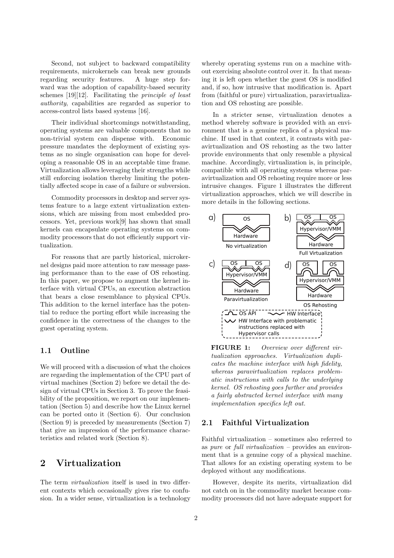Second, not subject to backward compatibility requirements, microkernels can break new grounds regarding security features. A huge step forward was the adoption of capability-based security schemes [19][12]. Facilitating the *principle of least authority*, capabilities are regarded as superior to access-control lists based systems [16].

Their individual shortcomings notwithstanding, operating systems are valuable components that no non-trivial system can dispense with. Economic pressure mandates the deployment of existing systems as no single organisation can hope for developing a reasonable OS in an acceptable time frame. Virtualization allows leveraging their strengths while still enforcing isolation thereby limiting the potentially affected scope in case of a failure or subversion.

Commodity processors in desktop and server systems feature to a large extent virtualization extensions, which are missing from most embedded processors. Yet, previous work[9] has shown that small kernels can encapsulate operating systems on commodity processors that do not efficiently support virtualization.

For reasons that are partly historical, microkernel designs paid more attention to raw message passing performance than to the ease of OS rehosting. In this paper, we propose to augment the kernel interface with virtual CPUs, an execution abstraction that bears a close resemblance to physical CPUs. This addition to the kernel interface has the potential to reduce the porting effort while increasing the confidence in the correctness of the changes to the guest operating system.

#### 1.1 Outline

We will proceed with a discussion of what the choices are regarding the implementation of the CPU part of virtual machines (Section 2) before we detail the design of virtual CPUs in Section 3. To prove the feasibility of the proposition, we report on our implementation (Section 5) and describe how the Linux kernel can be ported onto it (Section 6). Our conclusion (Section 9) is preceded by measurements (Section 7) that give an impression of the performance characteristics and related work (Section 8).

## 2 Virtualization

The term *virtualization* itself is used in two different contexts which occasionally gives rise to confusion. In a wider sense, virtualization is a technology whereby operating systems run on a machine without exercising absolute control over it. In that meaning it is left open whether the guest OS is modified and, if so, how intrusive that modification is. Apart from (faithful or pure) virtualization, paravirtualization and OS rehosting are possible.

In a stricter sense, virtualization denotes a method whereby software is provided with an environment that is a genuine replica of a physical machine. If used in that context, it contrasts with paravirtualization and OS rehosting as the two latter provide environments that only resemble a physical machine. Accordingly, virtualization is, in principle, compatible with all operating systems whereas paravirtualization and OS rehosting require more or less intrusive changes. Figure 1 illustrates the different virtualization approaches, which we will describe in more details in the following sections.



FIGURE 1: *Overview over different virtualization approaches. Virtualization duplicates the machine interface with high fidelity, whereas paravirtualization replaces problematic instructions with calls to the underlying kernel. OS rehosting goes further and provides a fairly abstracted kernel interface with many implementation specifics left out.*

#### 2.1 Faithful Virtualization

Faithful virtualization – sometimes also referred to as *pure* or *full virtualization* – provides an environment that is a genuine copy of a physical machine. That allows for an existing operating system to be deployed without any modifications.

However, despite its merits, virtualization did not catch on in the commodity market because commodity processors did not have adequate support for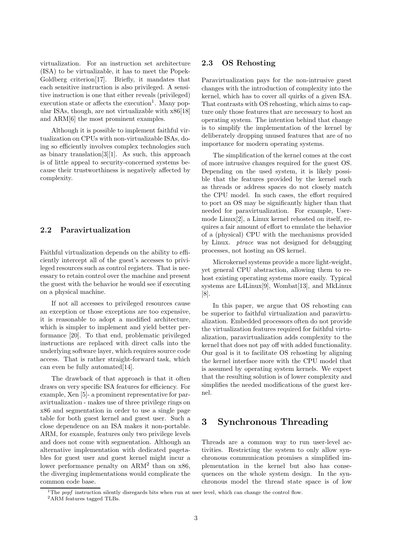virtualization. For an instruction set architecture (ISA) to be virtualizable, it has to meet the Popek-Goldberg criterion[17]. Briefly, it mandates that each sensitive instruction is also privileged. A sensitive instruction is one that either reveals (privileged) execution state or affects the execution<sup>1</sup>. Many popular ISAs, though, are not virtualizable with x86[18] and ARM[6] the most prominent examples.

Although it is possible to implement faithful virtualization on CPUs with non-virtualizable ISAs, doing so efficiently involves complex technologies such as binary translation[3][1]. As such, this approach is of little appeal to security-concerned systems because their trustworthiness is negatively affected by complexity.

#### 2.2 Paravirtualization

Faithful virtualization depends on the ability to efficiently intercept all of the guest's accesses to privileged resources such as control registers. That is necessary to retain control over the machine and present the guest with the behavior he would see if executing on a physical machine.

If not all accesses to privileged resources cause an exception or those exceptions are too expensive, it is reasonable to adopt a modified architecture, which is simpler to implement and yield better performance [20]. To that end, problematic privileged instructions are replaced with direct calls into the underlying software layer, which requires source code access. That is rather straight-forward task, which can even be fully automated[14].

The drawback of that approach is that it often draws on very specific ISA features for efficiency. For example, Xen [5]- a prominent representative for paravirtualization - makes use of three privilege rings on x86 and segmentation in order to use a single page table for both guest kernel and guest user. Such a close dependence on an ISA makes it non-portable. ARM, for example, features only two privilege levels and does not come with segmentation. Although an alternative implementation with dedicated pagetables for guest user and guest kernel might incur a lower performance penalty on ARM<sup>2</sup> than on x86, the diverging implementations would complicate the common code base.

#### 2.3 OS Rehosting

Paravirtualization pays for the non-intrusive guest changes with the introduction of complexity into the kernel, which has to cover all quirks of a given ISA. That contrasts with OS rehosting, which aims to capture only those features that are necessary to host an operating system. The intention behind that change is to simplify the implementation of the kernel by deliberately dropping unused features that are of no importance for modern operating systems.

The simplification of the kernel comes at the cost of more intrusive changes required for the guest OS. Depending on the used system, it is likely possible that the features provided by the kernel such as threads or address spaces do not closely match the CPU model. In such cases, the effort required to port an OS may be significantly higher than that needed for paravirtualization. For example, Usermode Linux[2], a Linux kernel rehosted on itself, requires a fair amount of effort to emulate the behavior of a (physical) CPU with the mechanisms provided by Linux. *ptrace* was not designed for debugging processes, not hosting an OS kernel.

Microkernel systems provide a more light-weight, yet general CPU abstraction, allowing them to rehost existing operating systems more easily. Typical systems are L4Linux $[9]$ , Wombat $[13]$ , and MkLinux [8].

In this paper, we argue that OS rehosting can be superior to faithful virtualization and paravirtualization. Embedded processors often do not provide the virtualization features required for faithful virtualization, paravirtualization adds complexity to the kernel that does not pay off with added functionality. Our goal is it to facilitate OS rehosting by aligning the kernel interface more with the CPU model that is assumed by operating system kernels. We expect that the resulting solution is of lower complexity and simplifies the needed modifications of the guest kernel.

## 3 Synchronous Threading

Threads are a common way to run user-level activities. Restricting the system to only allow synchronous communication promises a simplified implementation in the kernel but also has consequences on the whole system design. In the synchronous model the thread state space is of low

<sup>&</sup>lt;sup>1</sup>The popf instruction silently disregards bits when run at user level, which can change the control flow. <sup>2</sup>ARM features tagged TLBs.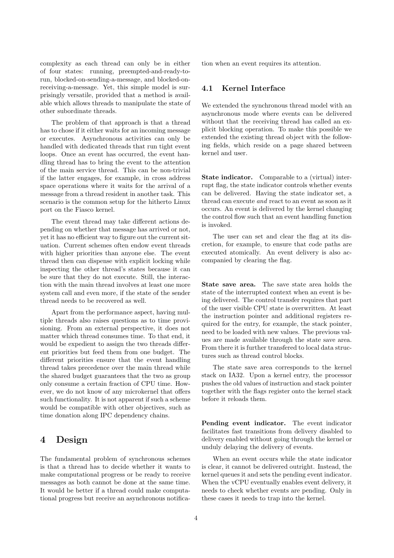complexity as each thread can only be in either of four states: running, preempted-and-ready-torun, blocked-on-sending-a-message, and blocked-onreceiving-a-message. Yet, this simple model is surprisingly versatile, provided that a method is available which allows threads to manipulate the state of other subordinate threads.

The problem of that approach is that a thread has to chose if it either waits for an incoming message or executes. Asynchronous activities can only be handled with dedicated threads that run tight event loops. Once an event has occurred, the event handling thread has to bring the event to the attention of the main service thread. This can be non-trivial if the latter engages, for example, in cross address space operations where it waits for the arrival of a message from a thread resident in another task. This scenario is the common setup for the hitherto Linux port on the Fiasco kernel.

The event thread may take different actions depending on whether that message has arrived or not, yet it has no efficient way to figure out the current situation. Current schemes often endow event threads with higher priorities than anyone else. The event thread then can dispense with explicit locking while inspecting the other thread's states because it can be sure that they do not execute. Still, the interaction with the main thread involves at least one more system call and even more, if the state of the sender thread needs to be recovered as well.

Apart from the performance aspect, having multiple threads also raises questions as to time provisioning. From an external perspective, it does not matter which thread consumes time. To that end, it would be expedient to assign the two threads different priorities but feed them from one budget. The different priorities ensure that the event handling thread takes precedence over the main thread while the shared budget guarantees that the two as group only consume a certain fraction of CPU time. However, we do not know of any microkernel that offers such functionality. It is not apparent if such a scheme would be compatible with other objectives, such as time donation along IPC dependency chains.

### 4 Design

The fundamental problem of synchronous schemes is that a thread has to decide whether it wants to make computational progress or be ready to receive messages as both cannot be done at the same time. It would be better if a thread could make computational progress but receive an asynchronous notification when an event requires its attention.

#### 4.1 Kernel Interface

We extended the synchronous thread model with an asynchronous mode where events can be delivered without that the receiving thread has called an explicit blocking operation. To make this possible we extended the existing thread object with the following fields, which reside on a page shared between kernel and user.

State indicator. Comparable to a (virtual) interrupt flag, the state indicator controls whether events can be delivered. Having the state indicator set, a thread can execute *and* react to an event as soon as it occurs. An event is delivered by the kernel changing the control flow such that an event handling function is invoked.

The user can set and clear the flag at its discretion, for example, to ensure that code paths are executed atomically. An event delivery is also accompanied by clearing the flag.

State save area. The save state area holds the state of the interrupted context when an event is being delivered. The control transfer requires that part of the user visible CPU state is overwritten. At least the instruction pointer and additional registers required for the entry, for example, the stack pointer, need to be loaded with new values. The previous values are made available through the state save area. From there it is further transfered to local data structures such as thread control blocks.

The state save area corresponds to the kernel stack on IA32. Upon a kernel entry, the processor pushes the old values of instruction and stack pointer together with the flags register onto the kernel stack before it reloads them.

Pending event indicator. The event indicator facilitates fast transitions from delivery disabled to delivery enabled without going through the kernel or unduly delaying the delivery of events.

When an event occurs while the state indicator is clear, it cannot be delivered outright. Instead, the kernel queues it and sets the pending event indicator. When the vCPU eventually enables event delivery, it needs to check whether events are pending. Only in these cases it needs to trap into the kernel.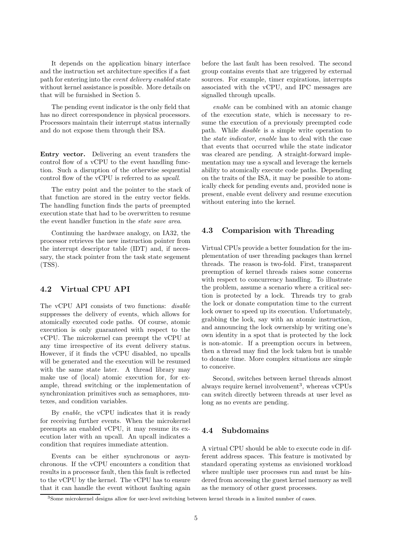It depends on the application binary interface and the instruction set architecture specifics if a fast path for entering into the *event delivery enabled* state without kernel assistance is possible. More details on that will be furnished in Section 5.

The pending event indicator is the only field that has no direct correspondence in physical processors. Processors maintain their interrupt status internally and do not expose them through their ISA.

Entry vector. Delivering an event transfers the control flow of a vCPU to the event handling function. Such a disruption of the otherwise sequential control flow of the vCPU is referred to as *upcall*.

The entry point and the pointer to the stack of that function are stored in the entry vector fields. The handling function finds the parts of preempted execution state that had to be overwritten to resume the event handler function in the *state save area*.

Continuing the hardware analogy, on IA32, the processor retrieves the new instruction pointer from the interrupt descriptor table (IDT) and, if necessary, the stack pointer from the task state segement (TSS).

### 4.2 Virtual CPU API

The vCPU API consists of two functions: *disable* suppresses the delivery of events, which allows for atomically executed code paths. Of course, atomic execution is only guaranteed with respect to the vCPU. The microkernel can preempt the vCPU at any time irrespective of its event delivery status. However, if it finds the vCPU disabled, no upcalls will be generated and the execution will be resumed with the same state later. A thread library may make use of (local) atomic execution for, for example, thread switching or the implementation of synchronization primitives such as semaphores, mutexes, and condition variables.

By *enable*, the vCPU indicates that it is ready for receiving further events. When the microkernel preempts an enabled vCPU, it may resume its execution later with an upcall. An upcall indicates a condition that requires immediate attention.

Events can be either synchronous or asynchronous. If the vCPU encounters a condition that results in a processor fault, then this fault is reflected to the vCPU by the kernel. The vCPU has to ensure that it can handle the event without faulting again before the last fault has been resolved. The second group contains events that are triggered by external sources. For example, timer expirations, interrupts associated with the vCPU, and IPC messages are signalled through upcalls.

*enable* can be combined with an atomic change of the execution state, which is necessary to resume the execution of a previously preempted code path. While *disable* is a simple write operation to the *state indicator*, *enable* has to deal with the case that events that occurred while the state indicator was cleared are pending. A straight-forward implementation may use a syscall and leverage the kernels ability to atomically execute code paths. Depending on the traits of the ISA, it may be possible to atomically check for pending events and, provided none is present, enable event delivery and resume execution without entering into the kernel.

#### 4.3 Comparision with Threading

Virtual CPUs provide a better foundation for the implementation of user threading packages than kernel threads. The reason is two-fold. First, transparent preemption of kernel threads raises some concerns with respect to concurrency handling. To illustrate the problem, assume a scenario where a critical section is protected by a lock. Threads try to grab the lock or donate computation time to the current lock owner to speed up its execution. Unfortunately, grabbing the lock, say with an atomic instruction, and announcing the lock ownership by writing one's own identity in a spot that is protected by the lock is non-atomic. If a preemption occurs in between, then a thread may find the lock taken but is unable to donate time. More complex situations are simple to conceive.

Second, switches between kernel threads almost always require kernel involvement<sup>3</sup>, whereas vCPUs can switch directly between threads at user level as long as no events are pending.

#### 4.4 Subdomains

A virtual CPU should be able to execute code in different address spaces. This feature is motivated by standard operating systems as envisioned workload where multiple user processes run and must be hindered from accessing the guest kernel memory as well as the memory of other guest processes.

<sup>&</sup>lt;sup>3</sup>Some microkernel designs allow for user-level switching between kernel threads in a limited number of cases.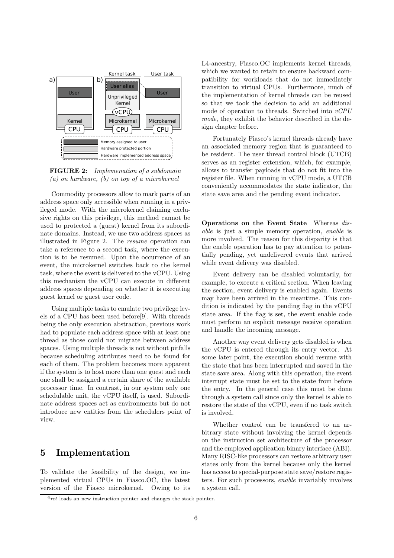

FIGURE 2: *Implemenation of a subdomain (a) on hardware, (b) on top of a microkernel*

Commodity processors allow to mark parts of an address space only accessible when running in a privileged mode. With the microkernel claiming exclusive rights on this privilege, this method cannot be used to protected a (guest) kernel from its subordinate domains. Instead, we use two address spaces as illustrated in Figure 2. The *resume* operation can take a reference to a second task, where the execution is to be resumed. Upon the occurrence of an event, the microkernel switches back to the kernel task, where the event is delivered to the vCPU. Using this mechanism the vCPU can execute in different address spaces depending on whether it is executing guest kernel or guest user code.

Using multiple tasks to emulate two privilege levels of a CPU has been used before[9]. With threads being the only execution abstraction, previous work had to populate each address space with at least one thread as those could not migrate between address spaces. Using multiple threads is not without pitfalls because scheduling attributes need to be found for each of them. The problem becomes more apparent if the system is to host more than one guest and each one shall be assigned a certain share of the available processor time. In contrast, in our system only one schedulable unit, the vCPU itself, is used. Subordinate address spaces act as environments but do not introduce new entities from the schedulers point of view.

### 5 Implementation

To validate the feasibility of the design, we implemented virtual CPUs in Fiasco.OC, the latest version of the Fiasco microkernel. Owing to its L4-ancestry, Fiasco.OC implements kernel threads, which we wanted to retain to ensure backward compatibility for workloads that do not immediately transition to virtual CPUs. Furthermore, much of the implementation of kernel threads can be reused so that we took the decision to add an additional mode of operation to threads. Switched into *vCPU mode*, they exhibit the behavior described in the design chapter before.

Fortunately Fiasco's kernel threads already have an associated memory region that is guaranteed to be resident. The user thread control block (UTCB) serves as an register extension, which, for example, allows to transfer payloads that do not fit into the register file. When running in vCPU mode, a UTCB conveniently accommodates the state indicator, the state save area and the pending event indicator.

Operations on the Event State Whereas *disable* is just a simple memory operation, *enable* is more involved. The reason for this disparity is that the enable operation has to pay attention to potentially pending, yet undelivered events that arrived while event delivery was disabled.

Event delivery can be disabled voluntarily, for example, to execute a critical section. When leaving the section, event delivery is enabled again. Events may have been arrived in the meantime. This condition is indicated by the pending flag in the vCPU state area. If the flag is set, the event enable code must perform an explicit message receive operation and handle the incoming message.

Another way event delivery gets disabled is when the vCPU is entered through its entry vector. At some later point, the execution should resume with the state that has been interrupted and saved in the state save area. Along with this operation, the event interrupt state must be set to the state from before the entry. In the general case this must be done through a system call since only the kernel is able to restore the state of the vCPU, even if no task switch is involved.

Whether control can be transfered to an arbitrary state without involving the kernel depends on the instruction set architecture of the processor and the employed application binary interface (ABI). Many RISC-like processors can restore arbitrary user states only from the kernel because only the kernel has access to special-purpose state save/restore registers. For such processors, *enable* invariably involves a system call.

 $4$ ret loads an new instruction pointer and changes the stack pointer.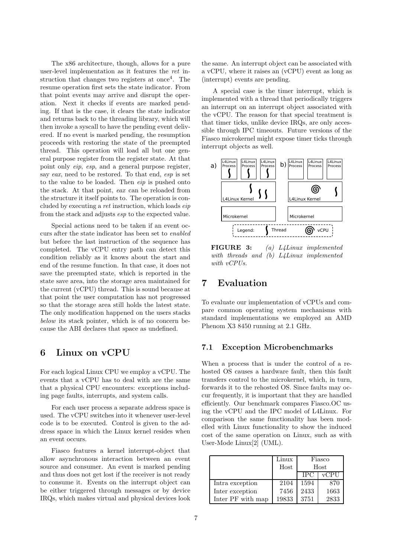The x86 architecture, though, allows for a pure user-level implementation as it features the *ret* instruction that changes two registers at once<sup>4</sup>. The resume operation first sets the state indicator. From that point events may arrive and disrupt the operation. Next it checks if events are marked pending. If that is the case, it clears the state indicator and returns back to the threading library, which will then invoke a syscall to have the pending event delivered. If no event is marked pending, the resumption proceeds with restoring the state of the preempted thread. This operation will load all but one general purpose register from the register state. At that point only *eip*, *esp*, and a general purpose register, say *eax*, need to be restored. To that end, *esp* is set to the value to be loaded. Then *eip* is pushed onto the stack. At that point, *eax* can be reloaded from the structure it itself points to. The operation is concluded by executing a *ret* instruction, which loads *eip* from the stack and adjusts *esp* to the expected value.

Special actions need to be taken if an event occurs after the state indicator has been set to *enabled* but before the last instruction of the sequence has completed. The vCPU entry path can detect this condition reliably as it knows about the start and end of the resume function. In that case, it does not save the preempted state, which is reported in the state save area, into the storage area maintained for the current (vCPU) thread. This is sound because at that point the user computation has not progressed so that the storage area still holds the latest state. The only modification happened on the users stacks *below* its stack pointer, which is of no concern because the ABI declares that space as undefined.

### 6 Linux on vCPU

For each logical Linux CPU we employ a vCPU. The events that a vCPU has to deal with are the same that a physical CPU encounters: exceptions including page faults, interrupts, and system calls.

For each user process a separate address space is used. The vCPU switches into it whenever user-level code is to be executed. Control is given to the address space in which the Linux kernel resides when an event occurs.

Fiasco features a kernel interrupt-object that allow asynchronous interaction between an event source and consumer. An event is marked pending and thus does not get lost if the receiver is not ready to consume it. Events on the interrupt object can be either triggered through messages or by device IRQs, which makes virtual and physical devices look the same. An interrupt object can be associated with a vCPU, where it raises an (vCPU) event as long as (interrupt) events are pending.

A special case is the timer interrupt, which is implemented with a thread that periodically triggers an interrupt on an interrupt object associated with the vCPU. The reason for that special treatment is that timer ticks, unlike device IRQs, are only accessible through IPC timeouts. Future versions of the Fiasco microkernel might expose timer ticks through interrupt objects as well.



FIGURE 3: *(a) L4Linux implemented with threads and (b) L4Linux implemented with vCPUs.*

## 7 Evaluation

To evaluate our implementation of vCPUs and compare common operating system mechanisms with standard implementations we employed an AMD Phenom X3 8450 running at 2.1 GHz.

#### 7.1 Exception Microbenchmarks

When a process that is under the control of a rehosted OS causes a hardware fault, then this fault transfers control to the microkernel, which, in turn, forwards it to the rehosted OS. Since faults may occur frequently, it is important that they are handled efficiently. Our benchmark compares Fiasco.OC using the vCPU and the IPC model of L4Linux. For comparison the same functionality has been modelled with Linux functionality to show the induced cost of the same operation on Linux, such as with User-Mode Linux[2] (UML).

|                   | Linux | Fiasco |      |
|-------------------|-------|--------|------|
|                   | Host  | Host   |      |
|                   |       | IPC    | vCPU |
| Intra exception   | 2104  | 1594   | 870  |
| Inter exception   | 7456  | 2433   | 1663 |
| Inter PF with map | 19833 | 3751   | 2833 |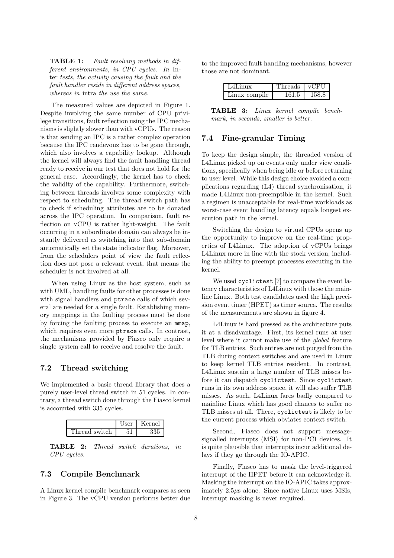TABLE 1: *Fault resolving methods in different environments, in CPU cycles. In* Inter *tests, the activity causing the fault and the fault handler reside in different address spaces, whereas in* intra *the use the same.*

The measured values are depicted in Figure 1. Despite involving the same number of CPU privilege transitions, fault reflection using the IPC mechanisms is slightly slower than with vCPUs. The reason is that sending an IPC is a rather complex operation because the IPC rendevouz has to be gone through, which also involves a capability lookup. Although the kernel will always find the fault handling thread ready to receive in our test that does not hold for the general case. Accordingly, the kernel has to check the validity of the capability. Furthermore, switching between threads involves some complexity with respect to scheduling. The thread switch path has to check if scheduling attributes are to be donated across the IPC operation. In comparison, fault reflection on vCPU is rather light-weight. The fault occurring in a subordinate domain can always be instantly delivered as switching into that sub-domain automatically set the state indicator flag. Moreover, from the schedulers point of view the fault reflection does not pose a relevant event, that means the scheduler is not involved at all.

When using Linux as the host system, such as with UML, handling faults for other processes is done with signal handlers and ptrace calls of which several are needed for a single fault. Establishing memory mappings in the faulting process must be done by forcing the faulting process to execute an mmap, which requires even more ptrace calls. In contrast, the mechanisms provided by Fiasco only require a single system call to receive and resolve the fault.

#### 7.2 Thread switching

We implemented a basic thread library that does a purely user-level thread switch in 51 cycles. In contrary, a thread switch done through the Fiasco kernel is accounted with 335 cycles.



TABLE 2: *Thread switch durations, in CPU cycles.*

#### 7.3 Compile Benchmark

A Linux kernel compile benchmark compares as seen in Figure 3. The vCPU version performs better due to the improved fault handling mechanisms, however those are not dominant.

| $L4$ Linux    | Threads   vCPU |       |
|---------------|----------------|-------|
| Linux compile | 161.5          | 158.8 |

TABLE 3: *Linux kernel compile benchmark, in seconds, smaller is better.*

#### 7.4 Fine-granular Timing

To keep the design simple, the threaded version of L4Linux picked up on events only under view conditions, specifically when being idle or before returning to user level. While this design choice avoided a complications regarding (L4) thread synchronisation, it made L4Linux non-preemptible in the kernel. Such a regimen is unacceptable for real-time workloads as worst-case event handling latency equals longest execution path in the kernel.

Switching the design to virtual CPUs opens up the opportunity to improve on the real-time properties of L4Linux. The adoption of vCPUs brings L4Linux more in line with the stock version, including the ability to preempt processes executing in the kernel.

We used cyclictest [7] to compare the event latency characteristics of L4Linux with those the mainline Linux. Both test candidates used the high precision event timer (HPET) as timer source. The results of the measurements are shown in figure 4.

L4Linux is hard pressed as the architecture puts it at a disadvantage. First, its kernel runs at user level where it cannot make use of the *global* feature for TLB entries. Such entries are not purged from the TLB during context switches and are used in Linux to keep kernel TLB entries resident. In contrast, L4Linux sustain a large number of TLB misses before it can dispatch cyclictest. Since cyclictest runs in its own address space, it will also suffer TLB misses. As such, L4Linux fares badly compared to mainline Linux which has good chances to suffer no TLB misses at all. There, cyclictest is likely to be the current process which obviates context switch.

Second, Fiasco does not support messagesignalled interrupts (MSI) for non-PCI devices. It is quite plausible that interrupts incur additional delays if they go through the IO-APIC.

Finally, Fiasco has to mask the level-triggered interrupt of the HPET before it can acknowledge it. Masking the interrupt on the IO-APIC takes approximately 2.5µs alone. Since native Linux uses MSIs, interrupt masking is never required.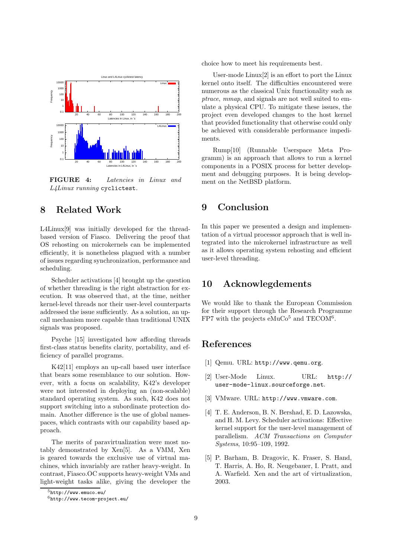

FIGURE 4: *Latencies in Linux and L4Linux running* cyclictest*.*

## 8 Related Work

L4Linux[9] was initially developed for the threadbased version of Fiasco. Delivering the proof that OS rehosting on microkernels can be implemented efficiently, it is nonetheless plagued with a number of issues regarding synchronization, performance and scheduling.

Scheduler activations [4] brought up the question of whether threading is the right abstraction for execution. It was observed that, at the time, neither kernel-level threads nor their user-level counterparts addressed the issue sufficiently. As a solution, an upcall mechanism more capable than traditional UNIX signals was proposed.

Psyche [15] investigated how affording threads first-class status benefits clarity, portability, and efficiency of parallel programs.

K42[11] employs an up-call based user interface that bears some resemblance to our solution. However, with a focus on scalability, K42's developer were not interested in deploying an (non-scalable) standard operating system. As such, K42 does not support switching into a subordinate protection domain. Another difference is the use of global namespaces, which contrasts with our capability based approach.

The merits of paravirtualization were most notably demonstrated by Xen[5]. As a VMM, Xen is geared towards the exclusive use of virtual machines, which invariably are rather heavy-weight. In contrast, Fiasco.OC supports heavy-weight VMs and light-weight tasks alike, giving the developer the choice how to meet his requirements best.

User-mode Linux[2] is an effort to port the Linux kernel onto itself. The difficulties encountered were numerous as the classical Unix functionality such as *ptrace*, *mmap*, and signals are not well suited to emulate a physical CPU. To mitigate these issues, the project even developed changes to the host kernel that provided functionality that otherwise could only be achieved with considerable performance impediments.

Rump[10] (Runnable Userspace Meta Programm) is an approach that allows to run a kernel components in a POSIX process for better development and debugging purposes. It is being development on the NetBSD platform.

## 9 Conclusion

In this paper we presented a design and implementation of a virtual processor approach that is well integrated into the microkernel infrastructure as well as it allows operating system rehosting and efficient user-level threading.

# 10 Acknowlegdements

We would like to thank the European Commission for their support through the Research Programme FP7 with the projects  $eMuCo<sup>5</sup>$  and TECOM<sup>6</sup>.

# References

- [1] Qemu. URL: http://www.qemu.org.
- [2] User-Mode Linux. URL: http:// user-mode-linux.sourceforge.net.
- [3] VMware. URL: http://www.vmware.com.
- [4] T. E. Anderson, B. N. Bershad, E. D. Lazowska, and H. M. Levy. Scheduler activations: Effective kernel support for the user-level management of parallelism. *ACM Transactions on Computer Systems*, 10:95–109, 1992.
- [5] P. Barham, B. Dragovic, K. Fraser, S. Hand, T. Harris, A. Ho, R. Neugebauer, I. Pratt, and A. Warfield. Xen and the art of virtualization, 2003.

<sup>5</sup>http://www.emuco.eu/

 $6$ http://www.tecom-project.eu/